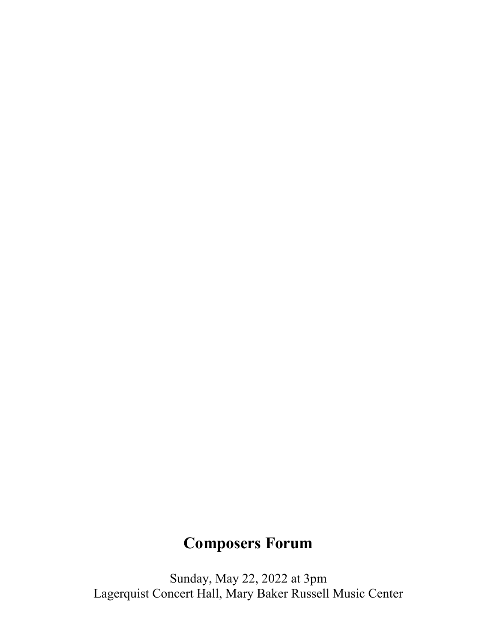# **Composers Forum**

Sunday, May 22, 2022 at 3pm Lagerquist Concert Hall, Mary Baker Russell Music Center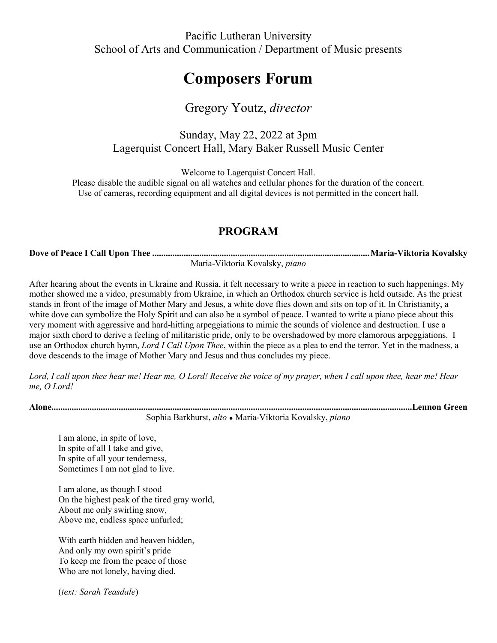### Pacific Lutheran University School of Arts and Communication / Department of Music presents

## **Composers Forum**

## Gregory Youtz, *director*

#### Sunday, May 22, 2022 at 3pm Lagerquist Concert Hall, Mary Baker Russell Music Center

Welcome to Lagerquist Concert Hall.

Please disable the audible signal on all watches and cellular phones for the duration of the concert. Use of cameras, recording equipment and all digital devices is not permitted in the concert hall.

### **PROGRAM**

**Dove of Peace I Call Upon Thee .................................................................................................Maria-Viktoria Kovalsky** Maria-Viktoria Kovalsky, *piano*

After hearing about the events in Ukraine and Russia, it felt necessary to write a piece in reaction to such happenings. My mother showed me a video, presumably from Ukraine, in which an Orthodox church service is held outside. As the priest stands in front of the image of Mother Mary and Jesus, a white dove flies down and sits on top of it. In Christianity, a white dove can symbolize the Holy Spirit and can also be a symbol of peace. I wanted to write a piano piece about this very moment with aggressive and hard-hitting arpeggiations to mimic the sounds of violence and destruction. I use a major sixth chord to derive a feeling of militaristic pride, only to be overshadowed by more clamorous arpeggiations. I use an Orthodox church hymn, *Lord I Call Upon Thee*, within the piece as a plea to end the terror. Yet in the madness, a dove descends to the image of Mother Mary and Jesus and thus concludes my piece.

*Lord, I call upon thee hear me! Hear me, O Lord! Receive the voice of my prayer, when I call upon thee, hear me! Hear me, O Lord!*

**Alone.................................................................................................................................................................Lennon Green**

Sophia Barkhurst, *alto ●* Maria-Viktoria Kovalsky, *piano*

I am alone, in spite of love, In spite of all I take and give, In spite of all your tenderness, Sometimes I am not glad to live.

I am alone, as though I stood On the highest peak of the tired gray world, About me only swirling snow, Above me, endless space unfurled;

With earth hidden and heaven hidden, And only my own spirit's pride To keep me from the peace of those Who are not lonely, having died.

(*text: Sarah Teasdale*)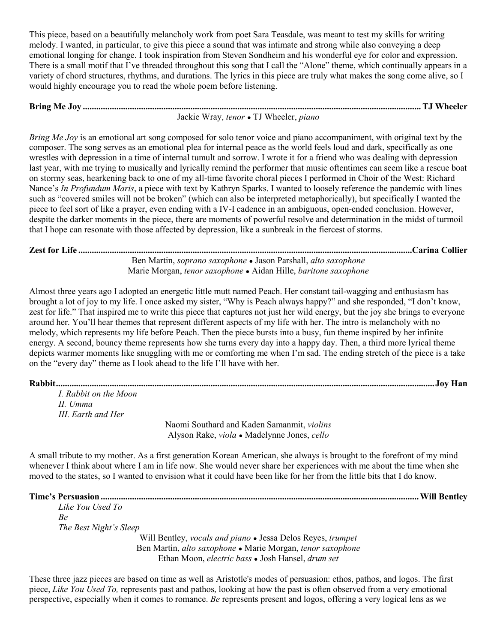This piece, based on a beautifully melancholy work from poet Sara Teasdale, was meant to test my skills for writing melody. I wanted, in particular, to give this piece a sound that was intimate and strong while also conveying a deep emotional longing for change. I took inspiration from Steven Sondheim and his wonderful eye for color and expression. There is a small motif that I've threaded throughout this song that I call the "Alone" theme, which continually appears in a variety of chord structures, rhythms, and durations. The lyrics in this piece are truly what makes the song come alive, so I would highly encourage you to read the whole poem before listening.

#### **Bring Me Joy .......................................................................................................................................................TJ Wheeler** Jackie Wray, *tenor ●* TJ Wheeler, *piano*

*Bring Me Joy* is an emotional art song composed for solo tenor voice and piano accompaniment, with original text by the composer. The song serves as an emotional plea for internal peace as the world feels loud and dark, specifically as one wrestles with depression in a time of internal tumult and sorrow. I wrote it for a friend who was dealing with depression last year, with me trying to musically and lyrically remind the performer that music oftentimes can seem like a rescue boat on stormy seas, hearkening back to one of my all-time favorite choral pieces I performed in Choir of the West: Richard Nance's *In Profundum Maris*, a piece with text by Kathryn Sparks. I wanted to loosely reference the pandemic with lines such as "covered smiles will not be broken" (which can also be interpreted metaphorically), but specifically I wanted the piece to feel sort of like a prayer, even ending with a IV-I cadence in an ambiguous, open-ended conclusion. However, despite the darker moments in the piece, there are moments of powerful resolve and determination in the midst of turmoil that I hope can resonate with those affected by depression, like a sunbreak in the fiercest of storms.

#### **Zest for Life .....................................................................................................................................................Carina Collier** Ben Martin, *soprano saxophone ●* Jason Parshall, *alto saxophone* Marie Morgan, *tenor saxophone ●* Aidan Hille, *baritone saxophone*

Almost three years ago I adopted an energetic little mutt named Peach. Her constant tail-wagging and enthusiasm has brought a lot of joy to my life. I once asked my sister, "Why is Peach always happy?" and she responded, "I don't know, zest for life." That inspired me to write this piece that captures not just her wild energy, but the joy she brings to everyone around her. You'll hear themes that represent different aspects of my life with her. The intro is melancholy with no melody, which represents my life before Peach. Then the piece bursts into a busy, fun theme inspired by her infinite energy. A second, bouncy theme represents how she turns every day into a happy day. Then, a third more lyrical theme depicts warmer moments like snuggling with me or comforting me when I'm sad. The ending stretch of the piece is a take on the "every day" theme as I look ahead to the life I'll have with her.

**Rabbit.........................................................................................................................................................................Joy Han**

*I. Rabbit on the Moon II. Umma III. Earth and Her*

Naomi Southard and Kaden Samanmit, *violins* Alyson Rake, *viola ●* Madelynne Jones, *cello*

A small tribute to my mother. As a first generation Korean American, she always is brought to the forefront of my mind whenever I think about where I am in life now. She would never share her experiences with me about the time when she moved to the states, so I wanted to envision what it could have been like for her from the little bits that I do know.

| Like You Used To |  |
|------------------|--|
| Bе               |  |

*The Best Night's Sleep*

Will Bentley, *vocals and piano ●* Jessa Delos Reyes, *trumpet* Ben Martin, *alto saxophone ●* Marie Morgan, *tenor saxophone* Ethan Moon, *electric bass ●* Josh Hansel, *drum set*

These three jazz pieces are based on time as well as Aristotle's modes of persuasion: ethos, pathos, and logos. The first piece, *Like You Used To,* represents past and pathos, looking at how the past is often observed from a very emotional perspective, especially when it comes to romance. *Be* represents present and logos, offering a very logical lens as we